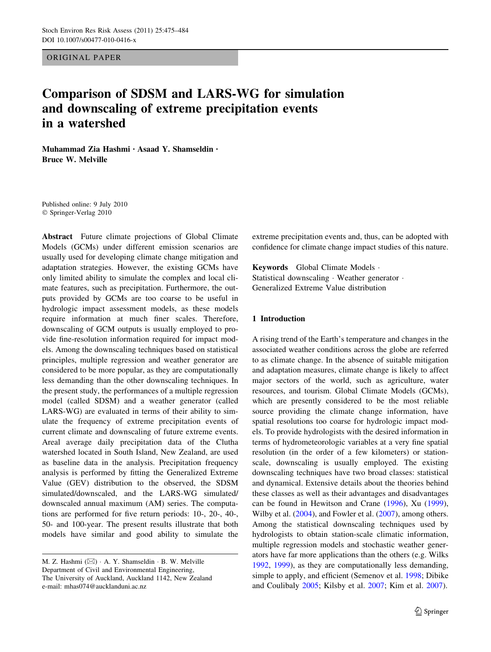ORIGINAL PAPER

# Comparison of SDSM and LARS-WG for simulation and downscaling of extreme precipitation events in a watershed

Muhammad Zia Hashmi • Asaad Y. Shamseldin • Bruce W. Melville

Published online: 9 July 2010 © Springer-Verlag 2010

Abstract Future climate projections of Global Climate Models (GCMs) under different emission scenarios are usually used for developing climate change mitigation and adaptation strategies. However, the existing GCMs have only limited ability to simulate the complex and local climate features, such as precipitation. Furthermore, the outputs provided by GCMs are too coarse to be useful in hydrologic impact assessment models, as these models require information at much finer scales. Therefore, downscaling of GCM outputs is usually employed to provide fine-resolution information required for impact models. Among the downscaling techniques based on statistical principles, multiple regression and weather generator are considered to be more popular, as they are computationally less demanding than the other downscaling techniques. In the present study, the performances of a multiple regression model (called SDSM) and a weather generator (called LARS-WG) are evaluated in terms of their ability to simulate the frequency of extreme precipitation events of current climate and downscaling of future extreme events. Areal average daily precipitation data of the Clutha watershed located in South Island, New Zealand, are used as baseline data in the analysis. Precipitation frequency analysis is performed by fitting the Generalized Extreme Value (GEV) distribution to the observed, the SDSM simulated/downscaled, and the LARS-WG simulated/ downscaled annual maximum (AM) series. The computations are performed for five return periods: 10-, 20-, 40-, 50- and 100-year. The present results illustrate that both models have similar and good ability to simulate the extreme precipitation events and, thus, can be adopted with confidence for climate change impact studies of this nature.

Keywords Global Climate Models . Statistical downscaling · Weather generator · Generalized Extreme Value distribution

## 1 Introduction

A rising trend of the Earth's temperature and changes in the associated weather conditions across the globe are referred to as climate change. In the absence of suitable mitigation and adaptation measures, climate change is likely to affect major sectors of the world, such as agriculture, water resources, and tourism. Global Climate Models (GCMs), which are presently considered to be the most reliable source providing the climate change information, have spatial resolutions too coarse for hydrologic impact models. To provide hydrologists with the desired information in terms of hydrometeorologic variables at a very fine spatial resolution (in the order of a few kilometers) or stationscale, downscaling is usually employed. The existing downscaling techniques have two broad classes: statistical and dynamical. Extensive details about the theories behind these classes as well as their advantages and disadvantages can be found in Hewitson and Crane [\(1996](#page-9-0)), Xu [\(1999](#page-9-0)), Wilby et al. ([2004\)](#page-9-0), and Fowler et al. ([2007\)](#page-9-0), among others. Among the statistical downscaling techniques used by hydrologists to obtain station-scale climatic information, multiple regression models and stochastic weather generators have far more applications than the others (e.g. Wilks [1992](#page-9-0), [1999](#page-9-0)), as they are computationally less demanding, simple to apply, and efficient (Semenov et al. [1998;](#page-9-0) Dibike and Coulibaly [2005;](#page-9-0) Kilsby et al. [2007](#page-9-0); Kim et al. [2007](#page-9-0)).

M. Z. Hashmi  $(\boxtimes) \cdot A$ . Y. Shamseldin  $\cdot B$ . W. Melville Department of Civil and Environmental Engineering, The University of Auckland, Auckland 1142, New Zealand e-mail: mhas074@aucklanduni.ac.nz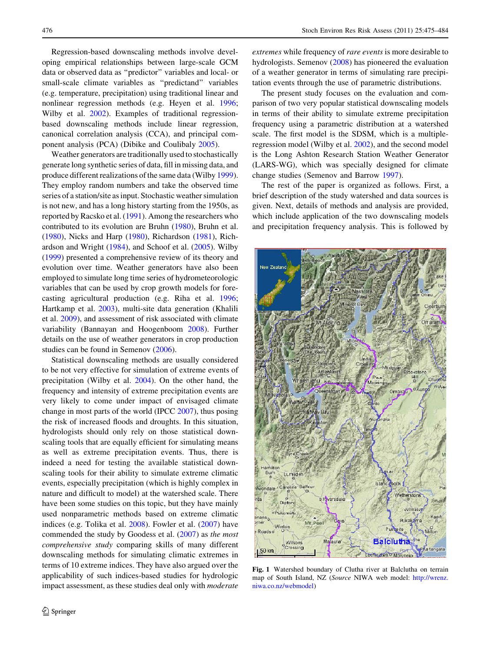<span id="page-1-0"></span>Regression-based downscaling methods involve developing empirical relationships between large-scale GCM data or observed data as ''predictor'' variables and local- or small-scale climate variables as ''predictand'' variables (e.g. temperature, precipitation) using traditional linear and nonlinear regression methods (e.g. Heyen et al. [1996](#page-9-0); Wilby et al. [2002\)](#page-9-0). Examples of traditional regressionbased downscaling methods include linear regression, canonical correlation analysis (CCA), and principal component analysis (PCA) (Dibike and Coulibaly [2005\)](#page-9-0).

Weather generators are traditionally used to stochastically generate long synthetic series of data, fill in missing data, and produce different realizations of the same data (Wilby [1999](#page-9-0)). They employ random numbers and take the observed time series of a station/site as input. Stochastic weather simulation is not new, and has a long history starting from the 1950s, as reported by Racsko et al. [\(1991](#page-9-0)). Among the researchers who contributed to its evolution are Bruhn ([1980\)](#page-9-0), Bruhn et al. [\(1980](#page-9-0)), Nicks and Harp ([1980\)](#page-9-0), Richardson [\(1981](#page-9-0)), Richardson and Wright [\(1984](#page-9-0)), and Schoof et al. [\(2005](#page-9-0)). Wilby [\(1999](#page-9-0)) presented a comprehensive review of its theory and evolution over time. Weather generators have also been employed to simulate long time series of hydrometeorologic variables that can be used by crop growth models for forecasting agricultural production (e.g. Riha et al. [1996](#page-9-0); Hartkamp et al. [2003](#page-9-0)), multi-site data generation (Khalili et al. [2009](#page-9-0)), and assessment of risk associated with climate variability (Bannayan and Hoogenboom [2008\)](#page-9-0). Further details on the use of weather generators in crop production studies can be found in Semenov ([2006\)](#page-9-0).

Statistical downscaling methods are usually considered to be not very effective for simulation of extreme events of precipitation (Wilby et al. [2004\)](#page-9-0). On the other hand, the frequency and intensity of extreme precipitation events are very likely to come under impact of envisaged climate change in most parts of the world (IPCC [2007](#page-9-0)), thus posing the risk of increased floods and droughts. In this situation, hydrologists should only rely on those statistical downscaling tools that are equally efficient for simulating means as well as extreme precipitation events. Thus, there is indeed a need for testing the available statistical downscaling tools for their ability to simulate extreme climatic events, especially precipitation (which is highly complex in nature and difficult to model) at the watershed scale. There have been some studies on this topic, but they have mainly used nonparametric methods based on extreme climatic indices (e.g. Tolika et al. [2008](#page-9-0)). Fowler et al. ([2007\)](#page-9-0) have commended the study by Goodess et al. [\(2007](#page-9-0)) as the most comprehensive study comparing skills of many different downscaling methods for simulating climatic extremes in terms of 10 extreme indices. They have also argued over the applicability of such indices-based studies for hydrologic impact assessment, as these studies deal only with moderate extremes while frequency of *rare events* is more desirable to hydrologists. Semenov ([2008\)](#page-9-0) has pioneered the evaluation of a weather generator in terms of simulating rare precipitation events through the use of parametric distributions.

The present study focuses on the evaluation and comparison of two very popular statistical downscaling models in terms of their ability to simulate extreme precipitation frequency using a parametric distribution at a watershed scale. The first model is the SDSM, which is a multipleregression model (Wilby et al. [2002](#page-9-0)), and the second model is the Long Ashton Research Station Weather Generator (LARS-WG), which was specially designed for climate change studies (Semenov and Barrow [1997\)](#page-9-0).

The rest of the paper is organized as follows. First, a brief description of the study watershed and data sources is given. Next, details of methods and analysis are provided, which include application of the two downscaling models and precipitation frequency analysis. This is followed by



Fig. 1 Watershed boundary of Clutha river at Balclutha on terrain map of South Island, NZ (Source NIWA web model: [http://wrenz.](http://wrenz.niwa.co.nz/webmodel) [niwa.co.nz/webmodel\)](http://wrenz.niwa.co.nz/webmodel)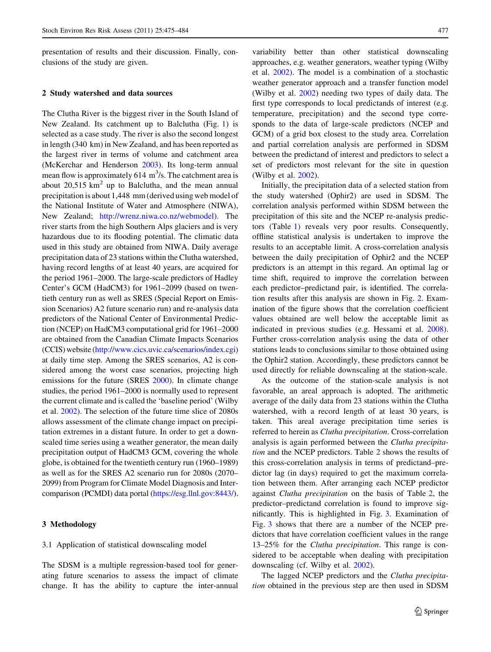<span id="page-2-0"></span>presentation of results and their discussion. Finally, conclusions of the study are given.

## 2 Study watershed and data sources

The Clutha River is the biggest river in the South Island of New Zealand. Its catchment up to Balclutha (Fig. [1](#page-1-0)) is selected as a case study. The river is also the second longest in length (340 km) in New Zealand, and has been reported as the largest river in terms of volume and catchment area (McKerchar and Henderson [2003](#page-9-0)). Its long-term annual mean flow is approximately 614  $\text{m}^3$ /s. The catchment area is about  $20,515 \text{ km}^2$  up to Balclutha, and the mean annual precipitation is about 1,448 mm (derived using web model of the National Institute of Water and Atmosphere (NIWA), New Zealand; [http://wrenz.niwa.co.nz/webmodel\)](http://wrenz.niwa.co.nz/webmodel). The river starts from the high Southern Alps glaciers and is very hazardous due to its flooding potential. The climatic data used in this study are obtained from NIWA. Daily average precipitation data of 23 stations within the Clutha watershed, having record lengths of at least 40 years, are acquired for the period 1961–2000. The large-scale predictors of Hadley Center's GCM (HadCM3) for 1961–2099 (based on twentieth century run as well as SRES (Special Report on Emission Scenarios) A2 future scenario run) and re-analysis data predictors of the National Center of Environmental Prediction (NCEP) on HadCM3 computational grid for 1961–2000 are obtained from the Canadian Climate Impacts Scenarios (CCIS) website [\(http://www.cics.uvic.ca/scenarios/index.cgi\)](http://www.cics.uvic.ca/scenarios/index.cgi) at daily time step. Among the SRES scenarios, A2 is considered among the worst case scenarios, projecting high emissions for the future (SRES [2000](#page-9-0)). In climate change studies, the period 1961–2000 is normally used to represent the current climate and is called the 'baseline period' (Wilby et al. [2002\)](#page-9-0). The selection of the future time slice of 2080s allows assessment of the climate change impact on precipitation extremes in a distant future. In order to get a downscaled time series using a weather generator, the mean daily precipitation output of HadCM3 GCM, covering the whole globe, is obtained for the twentieth century run (1960–1989) as well as for the SRES A2 scenario run for 2080s (2070– 2099) from Program for Climate Model Diagnosis and Intercomparison (PCMDI) data portal (<https://esg.llnl.gov:8443/>).

## 3 Methodology

#### 3.1 Application of statistical downscaling model

The SDSM is a multiple regression-based tool for generating future scenarios to assess the impact of climate change. It has the ability to capture the inter-annual

variability better than other statistical downscaling approaches, e.g. weather generators, weather typing (Wilby et al. [2002](#page-9-0)). The model is a combination of a stochastic weather generator approach and a transfer function model (Wilby et al. [2002](#page-9-0)) needing two types of daily data. The first type corresponds to local predictands of interest (e.g. temperature, precipitation) and the second type corresponds to the data of large-scale predictors (NCEP and GCM) of a grid box closest to the study area. Correlation and partial correlation analysis are performed in SDSM between the predictand of interest and predictors to select a set of predictors most relevant for the site in question (Wilby et al. [2002](#page-9-0)).

Initially, the precipitation data of a selected station from the study watershed (Ophir2) are used in SDSM. The correlation analysis performed within SDSM between the precipitation of this site and the NCEP re-analysis predictors (Table [1](#page-3-0)) reveals very poor results. Consequently, offline statistical analysis is undertaken to improve the results to an acceptable limit. A cross-correlation analysis between the daily precipitation of Ophir2 and the NCEP predictors is an attempt in this regard. An optimal lag or time shift, required to improve the correlation between each predictor–predictand pair, is identified. The correlation results after this analysis are shown in Fig. [2](#page-3-0). Examination of the figure shows that the correlation coefficient values obtained are well below the acceptable limit as indicated in previous studies (e.g. Hessami et al. [2008](#page-9-0)). Further cross-correlation analysis using the data of other stations leads to conclusions similar to those obtained using the Ophir2 station. Accordingly, these predictors cannot be used directly for reliable downscaling at the station-scale.

As the outcome of the station-scale analysis is not favorable, an areal approach is adopted. The arithmetic average of the daily data from 23 stations within the Clutha watershed, with a record length of at least 30 years, is taken. This areal average precipitation time series is referred to herein as Clutha precipitation. Cross-correlation analysis is again performed between the Clutha precipitation and the NCEP predictors. Table [2](#page-4-0) shows the results of this cross-correlation analysis in terms of predictand–predictor lag (in days) required to get the maximum correlation between them. After arranging each NCEP predictor against Clutha precipitation on the basis of Table [2](#page-4-0), the predictor–predictand correlation is found to improve significantly. This is highlighted in Fig. [3.](#page-4-0) Examination of Fig. [3](#page-4-0) shows that there are a number of the NCEP predictors that have correlation coefficient values in the range 13–25% for the Clutha precipitation. This range is considered to be acceptable when dealing with precipitation downscaling (cf. Wilby et al. [2002\)](#page-9-0).

The lagged NCEP predictors and the Clutha precipitation obtained in the previous step are then used in SDSM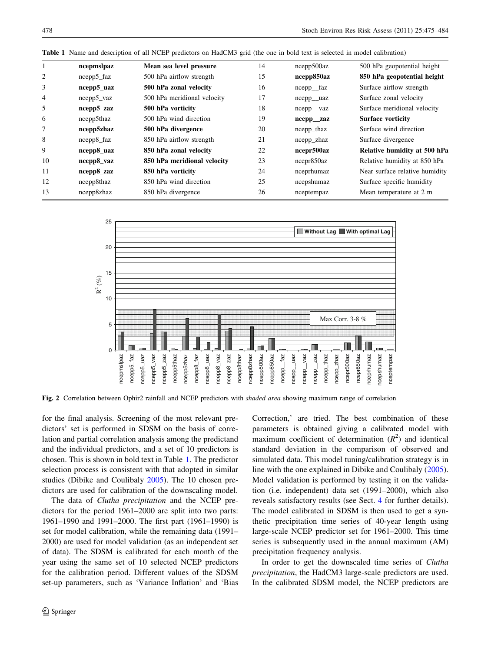|                | ncepmslpaz               | 14<br>Mean sea level pressure<br>ncepp500az |    | 500 hPa geopotential height |                                |
|----------------|--------------------------|---------------------------------------------|----|-----------------------------|--------------------------------|
| 2              | $ncepp5$ faz             | 500 hPa airflow strength                    | 15 | ncepp850az                  | 850 hPa geopotential height    |
| 3              | $ncepp5_uaz$             | 500 hPa zonal velocity                      | 16 | $ncepp_{\_\}faz$            | Surface airflow strength       |
| $\overline{4}$ | $ncepp5_vaz$             | 500 hPa meridional velocity                 | 17 | ncepp_uaz                   | Surface zonal velocity         |
| 5              | $ncepp5_zaz$             | 500 hPa vorticity                           | 18 | ncepp_vaz                   | Surface meridional velocity    |
| 6              | ncepp5thaz               | 500 hPa wind direction                      | 19 | $ncepp_zaz$                 | <b>Surface vorticity</b>       |
| 7              | ncepp5zhaz               | 500 hPa divergence                          | 20 | ncepp_thaz                  | Surface wind direction         |
| 8              | $ncepp8$ <sub>_faz</sub> | 850 hPa airflow strength                    | 21 | ncepp_zhaz                  | Surface divergence             |
| 9              | ncepp8_uaz               | 850 hPa zonal velocity                      | 22 | ncepr500az                  | Relative humidity at 500 hPa   |
| 10             | ncepp8_vaz               | 850 hPa meridional velocity                 | 23 | ncepr850az                  | Relative humidity at 850 hPa   |
| 11             | $ncepp8_zaz$             | 850 hPa vorticity                           | 24 | nceprhumaz                  | Near surface relative humidity |
| 12             | ncepp8thaz               | 850 hPa wind direction                      | 25 | ncepshumaz                  | Surface specific humidity      |
| 13             | ncepp8zhaz               | 850 hPa divergence                          | 26 | nceptempaz                  | Mean temperature at 2 m        |

<span id="page-3-0"></span>

|  |  |  |  | <b>Table 1</b> Name and description of all NCEP predictors on HadCM3 grid (the one in bold text is selected in model calibration) |
|--|--|--|--|-----------------------------------------------------------------------------------------------------------------------------------|
|--|--|--|--|-----------------------------------------------------------------------------------------------------------------------------------|



Fig. 2 Correlation between Ophir2 rainfall and NCEP predictors with shaded area showing maximum range of correlation

for the final analysis. Screening of the most relevant predictors' set is performed in SDSM on the basis of correlation and partial correlation analysis among the predictand and the individual predictors, and a set of 10 predictors is chosen. This is shown in bold text in Table 1. The predictor selection process is consistent with that adopted in similar studies (Dibike and Coulibaly [2005\)](#page-9-0). The 10 chosen predictors are used for calibration of the downscaling model.

The data of Clutha precipitation and the NCEP predictors for the period 1961–2000 are split into two parts: 1961–1990 and 1991–2000. The first part (1961–1990) is set for model calibration, while the remaining data (1991– 2000) are used for model validation (as an independent set of data). The SDSM is calibrated for each month of the year using the same set of 10 selected NCEP predictors for the calibration period. Different values of the SDSM set-up parameters, such as 'Variance Inflation' and 'Bias

Correction,' are tried. The best combination of these parameters is obtained giving a calibrated model with maximum coefficient of determination  $(R^2)$  and identical standard deviation in the comparison of observed and simulated data. This model tuning/calibration strategy is in line with the one explained in Dibike and Coulibaly [\(2005](#page-9-0)). Model validation is performed by testing it on the validation (i.e. independent) data set (1991–2000), which also reveals satisfactory results (see Sect. [4](#page-5-0) for further details). The model calibrated in SDSM is then used to get a synthetic precipitation time series of 40-year length using large-scale NCEP predictor set for 1961–2000. This time series is subsequently used in the annual maximum (AM) precipitation frequency analysis.

In order to get the downscaled time series of Clutha precipitation, the HadCM3 large-scale predictors are used. In the calibrated SDSM model, the NCEP predictors are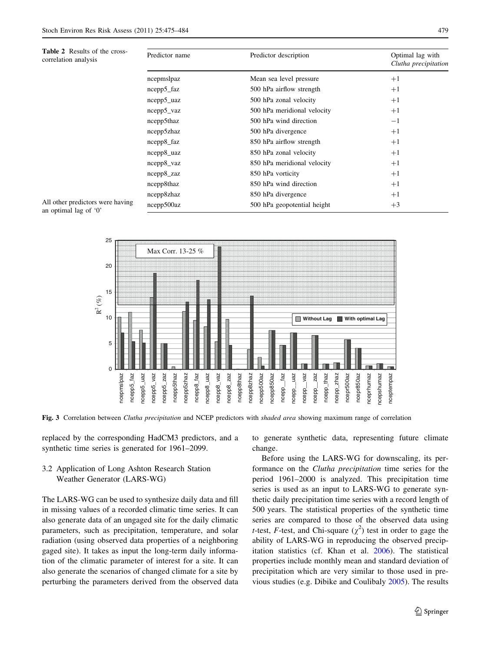| Predictor name           | Predictor description       | Optimal lag with<br>Clutha precipitation |
|--------------------------|-----------------------------|------------------------------------------|
| ncepmslpaz               | Mean sea level pressure     | $+1$                                     |
| $ncepp5$ <sub>_faz</sub> | 500 hPa airflow strength    | $+1$                                     |
| $ncepp5_uaz$             | 500 hPa zonal velocity      | $+1$                                     |
| $ncepp5_vaz$             | 500 hPa meridional velocity | $+1$                                     |
| ncepp5thaz               | 500 hPa wind direction      | $-1$                                     |
| ncepp5zhaz               | 500 hPa divergence          | $+1$                                     |
| $ncepp8$ <sub>_faz</sub> | 850 hPa airflow strength    | $+1$                                     |
| ncepp8_uaz               | 850 hPa zonal velocity      | $+1$                                     |
| $ncepp8$ vaz             | 850 hPa meridional velocity | $+1$                                     |
| $ncepp8_zaz$             | 850 hPa vorticity           | $+1$                                     |
| ncepp8thaz               | 850 hPa wind direction      | $+1$                                     |
| ncepp8zhaz               | 850 hPa divergence          | $+1$                                     |
| $n$ cep $p500$ az        | 500 hPa geopotential height | $+3$                                     |

All other predictors were having an optimal lag of '0'

<span id="page-4-0"></span>Table 2 Results of the cross correlation analysis



Fig. 3 Correlation between Clutha precipitation and NCEP predictors with shaded area showing maximum range of correlation

replaced by the corresponding HadCM3 predictors, and a synthetic time series is generated for 1961–2099.

# 3.2 Application of Long Ashton Research Station Weather Generator (LARS-WG)

The LARS-WG can be used to synthesize daily data and fill in missing values of a recorded climatic time series. It can also generate data of an ungaged site for the daily climatic parameters, such as precipitation, temperature, and solar radiation (using observed data properties of a neighboring gaged site). It takes as input the long-term daily information of the climatic parameter of interest for a site. It can also generate the scenarios of changed climate for a site by perturbing the parameters derived from the observed data to generate synthetic data, representing future climate change.

Before using the LARS-WG for downscaling, its performance on the Clutha precipitation time series for the period 1961–2000 is analyzed. This precipitation time series is used as an input to LARS-WG to generate synthetic daily precipitation time series with a record length of 500 years. The statistical properties of the synthetic time series are compared to those of the observed data using *t*-test, *F*-test, and Chi-square  $(\chi^2)$  test in order to gage the ability of LARS-WG in reproducing the observed precipitation statistics (cf. Khan et al. [2006](#page-9-0)). The statistical properties include monthly mean and standard deviation of precipitation which are very similar to those used in previous studies (e.g. Dibike and Coulibaly [2005](#page-9-0)). The results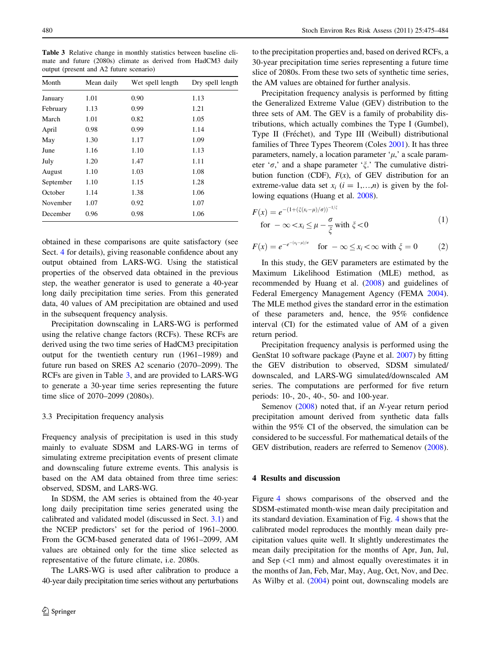<span id="page-5-0"></span>Table 3 Relative change in monthly statistics between baseline climate and future (2080s) climate as derived from HadCM3 daily output (present and A2 future scenario)

| Month     | Mean daily | Wet spell length | Dry spell length |
|-----------|------------|------------------|------------------|
| January   | 1.01       | 0.90             | 1.13             |
| February  | 1.13       | 0.99             | 1.21             |
| March     | 1.01       | 0.82             | 1.05             |
| April     | 0.98       | 0.99             | 1.14             |
| May       | 1.30       | 1.17             | 1.09             |
| June      | 1.16       | 1.10             | 1.13             |
| July      | 1.20       | 1.47             | 1.11             |
| August    | 1.10       | 1.03             | 1.08             |
| September | 1.10       | 1.15             | 1.28             |
| October   | 1.14       | 1.38             | 1.06             |
| November  | 1.07       | 0.92             | 1.07             |
| December  | 0.96       | 0.98             | 1.06             |

obtained in these comparisons are quite satisfactory (see Sect. 4 for details), giving reasonable confidence about any output obtained from LARS-WG. Using the statistical properties of the observed data obtained in the previous step, the weather generator is used to generate a 40-year long daily precipitation time series. From this generated data, 40 values of AM precipitation are obtained and used in the subsequent frequency analysis.

Precipitation downscaling in LARS-WG is performed using the relative change factors (RCFs). These RCFs are derived using the two time series of HadCM3 precipitation output for the twentieth century run (1961–1989) and future run based on SRES A2 scenario (2070–2099). The RCFs are given in Table 3, and are provided to LARS-WG to generate a 30-year time series representing the future time slice of 2070–2099 (2080s).

#### 3.3 Precipitation frequency analysis

Frequency analysis of precipitation is used in this study mainly to evaluate SDSM and LARS-WG in terms of simulating extreme precipitation events of present climate and downscaling future extreme events. This analysis is based on the AM data obtained from three time series: observed, SDSM, and LARS-WG.

In SDSM, the AM series is obtained from the 40-year long daily precipitation time series generated using the calibrated and validated model (discussed in Sect. [3.1](#page-2-0)) and the NCEP predictors' set for the period of 1961–2000. From the GCM-based generated data of 1961–2099, AM values are obtained only for the time slice selected as representative of the future climate, i.e. 2080s.

The LARS-WG is used after calibration to produce a 40-year daily precipitation time series without any perturbations to the precipitation properties and, based on derived RCFs, a 30-year precipitation time series representing a future time slice of 2080s. From these two sets of synthetic time series, the AM values are obtained for further analysis.

Precipitation frequency analysis is performed by fitting the Generalized Extreme Value (GEV) distribution to the three sets of AM. The GEV is a family of probability distributions, which actually combines the Type I (Gumbel), Type II (Fréchet), and Type III (Weibull) distributional families of Three Types Theorem (Coles [2001\)](#page-9-0). It has three parameters, namely, a location parameter  $\mu$ , a scale parameter ' $\sigma$ ,' and a shape parameter ' $\xi$ .' The cumulative distribution function (CDF),  $F(x)$ , of GEV distribution for an extreme-value data set  $x_i$   $(i = 1,...,n)$  is given by the following equations (Huang et al. [2008\)](#page-9-0).

$$
F(x) = e^{-(1+(\xi(x_i-\mu)/\sigma))^{-1/\xi}}
$$
  
for  $-\infty < x_i \le \mu - \frac{\sigma}{\xi}$  with  $\xi < 0$  (1)

$$
F(x) = e^{-e^{-(x_i - \mu)/\sigma}} \quad \text{for } -\infty \le x_i < \infty \text{ with } \xi = 0 \tag{2}
$$

In this study, the GEV parameters are estimated by the Maximum Likelihood Estimation (MLE) method, as recommended by Huang et al. [\(2008](#page-9-0)) and guidelines of Federal Emergency Management Agency (FEMA [2004](#page-9-0)). The MLE method gives the standard error in the estimation of these parameters and, hence, the 95% confidence interval (CI) for the estimated value of AM of a given return period.

Precipitation frequency analysis is performed using the GenStat 10 software package (Payne et al. [2007](#page-9-0)) by fitting the GEV distribution to observed, SDSM simulated/ downscaled, and LARS-WG simulated/downscaled AM series. The computations are performed for five return periods: 10-, 20-, 40-, 50- and 100-year.

Semenov ([2008\)](#page-9-0) noted that, if an N-year return period precipitation amount derived from synthetic data falls within the 95% CI of the observed, the simulation can be considered to be successful. For mathematical details of the GEV distribution, readers are referred to Semenov [\(2008](#page-9-0)).

### 4 Results and discussion

Figure [4](#page-6-0) shows comparisons of the observed and the SDSM-estimated month-wise mean daily precipitation and its standard deviation. Examination of Fig. [4](#page-6-0) shows that the calibrated model reproduces the monthly mean daily precipitation values quite well. It slightly underestimates the mean daily precipitation for the months of Apr, Jun, Jul, and Sep  $(\leq 1$  mm) and almost equally overestimates it in the months of Jan, Feb, Mar, May, Aug, Oct, Nov, and Dec. As Wilby et al. [\(2004](#page-9-0)) point out, downscaling models are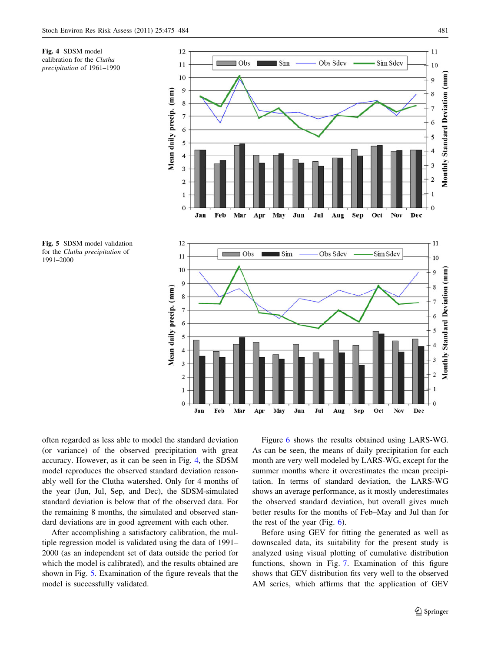

<span id="page-6-0"></span>



Fig. 5 SDSM model validation for the Clutha precipitation of 1991–2000

often regarded as less able to model the standard deviation (or variance) of the observed precipitation with great accuracy. However, as it can be seen in Fig. 4, the SDSM model reproduces the observed standard deviation reasonably well for the Clutha watershed. Only for 4 months of the year (Jun, Jul, Sep, and Dec), the SDSM-simulated standard deviation is below that of the observed data. For the remaining 8 months, the simulated and observed standard deviations are in good agreement with each other.

After accomplishing a satisfactory calibration, the multiple regression model is validated using the data of 1991– 2000 (as an independent set of data outside the period for which the model is calibrated), and the results obtained are shown in Fig. 5. Examination of the figure reveals that the model is successfully validated.

Figure [6](#page-7-0) shows the results obtained using LARS-WG. As can be seen, the means of daily precipitation for each month are very well modeled by LARS-WG, except for the summer months where it overestimates the mean precipitation. In terms of standard deviation, the LARS-WG shows an average performance, as it mostly underestimates the observed standard deviation, but overall gives much better results for the months of Feb–May and Jul than for the rest of the year (Fig. [6\)](#page-7-0).

Before using GEV for fitting the generated as well as downscaled data, its suitability for the present study is analyzed using visual plotting of cumulative distribution functions, shown in Fig. [7](#page-7-0). Examination of this figure shows that GEV distribution fits very well to the observed AM series, which affirms that the application of GEV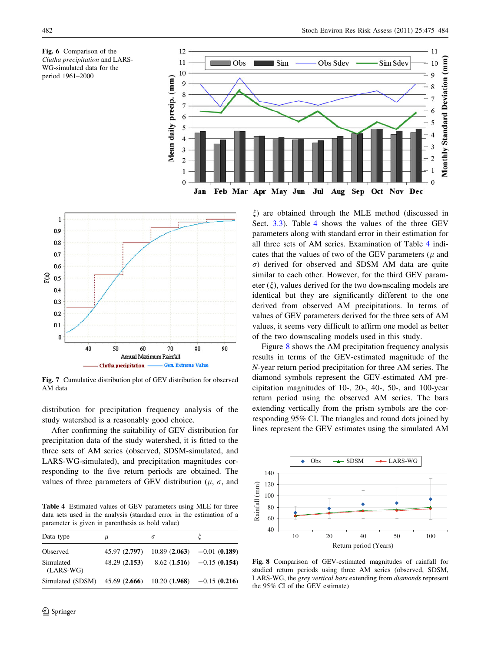<span id="page-7-0"></span>





Fig. 7 Cumulative distribution plot of GEV distribution for observed AM data

distribution for precipitation frequency analysis of the study watershed is a reasonably good choice.

After confirming the suitability of GEV distribution for precipitation data of the study watershed, it is fitted to the three sets of AM series (observed, SDSM-simulated, and LARS-WG-simulated), and precipitation magnitudes corresponding to the five return periods are obtained. The values of three parameters of GEV distribution ( $\mu$ ,  $\sigma$ , and

Table 4 Estimated values of GEV parameters using MLE for three data sets used in the analysis (standard error in the estimation of a parameter is given in parenthesis as bold value)

| Data type              | μ                                           | $\sigma$                    |                            |
|------------------------|---------------------------------------------|-----------------------------|----------------------------|
| Observed               | 45.97 (2.797)                               | $10.89(2.063) -0.01(0.189)$ |                            |
| Simulated<br>(LARS-WG) | 48.29 (2.153)                               |                             | $8.62(1.516) -0.15(0.154)$ |
| Simulated (SDSM)       | $45.69(2.666)$ 10.20 (1.968) $-0.15(0.216)$ |                             |                            |

 $\xi$ ) are obtained through the MLE method (discussed in Sect. [3.3](#page-5-0)). Table 4 shows the values of the three GEV parameters along with standard error in their estimation for all three sets of AM series. Examination of Table 4 indicates that the values of two of the GEV parameters ( $\mu$  and  $\sigma$ ) derived for observed and SDSM AM data are quite similar to each other. However, for the third GEV parameter  $(\xi)$ , values derived for the two downscaling models are identical but they are significantly different to the one derived from observed AM precipitations. In terms of values of GEV parameters derived for the three sets of AM values, it seems very difficult to affirm one model as better of the two downscaling models used in this study.

Figure 8 shows the AM precipitation frequency analysis results in terms of the GEV-estimated magnitude of the N-year return period precipitation for three AM series. The diamond symbols represent the GEV-estimated AM precipitation magnitudes of 10-, 20-, 40-, 50-, and 100-year return period using the observed AM series. The bars extending vertically from the prism symbols are the corresponding 95% CI. The triangles and round dots joined by lines represent the GEV estimates using the simulated AM



Fig. 8 Comparison of GEV-estimated magnitudes of rainfall for studied return periods using three AM series (observed, SDSM, LARS-WG, the grey vertical bars extending from diamonds represent the 95% CI of the GEV estimate)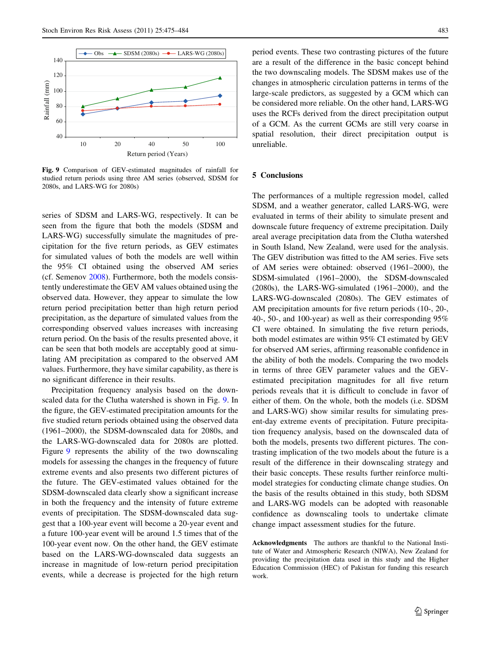

Fig. 9 Comparison of GEV-estimated magnitudes of rainfall for studied return periods using three AM series (observed, SDSM for 2080s, and LARS-WG for 2080s)

series of SDSM and LARS-WG, respectively. It can be seen from the figure that both the models (SDSM and LARS-WG) successfully simulate the magnitudes of precipitation for the five return periods, as GEV estimates for simulated values of both the models are well within the 95% CI obtained using the observed AM series (cf. Semenov [2008](#page-9-0)). Furthermore, both the models consistently underestimate the GEV AM values obtained using the observed data. However, they appear to simulate the low return period precipitation better than high return period precipitation, as the departure of simulated values from the corresponding observed values increases with increasing return period. On the basis of the results presented above, it can be seen that both models are acceptably good at simulating AM precipitation as compared to the observed AM values. Furthermore, they have similar capability, as there is no significant difference in their results.

Precipitation frequency analysis based on the downscaled data for the Clutha watershed is shown in Fig. 9. In the figure, the GEV-estimated precipitation amounts for the five studied return periods obtained using the observed data (1961–2000), the SDSM-downscaled data for 2080s, and the LARS-WG-downscaled data for 2080s are plotted. Figure 9 represents the ability of the two downscaling models for assessing the changes in the frequency of future extreme events and also presents two different pictures of the future. The GEV-estimated values obtained for the SDSM-downscaled data clearly show a significant increase in both the frequency and the intensity of future extreme events of precipitation. The SDSM-downscaled data suggest that a 100-year event will become a 20-year event and a future 100-year event will be around 1.5 times that of the 100-year event now. On the other hand, the GEV estimate based on the LARS-WG-downscaled data suggests an increase in magnitude of low-return period precipitation events, while a decrease is projected for the high return period events. These two contrasting pictures of the future are a result of the difference in the basic concept behind the two downscaling models. The SDSM makes use of the changes in atmospheric circulation patterns in terms of the large-scale predictors, as suggested by a GCM which can be considered more reliable. On the other hand, LARS-WG uses the RCFs derived from the direct precipitation output of a GCM. As the current GCMs are still very coarse in spatial resolution, their direct precipitation output is unreliable.

## 5 Conclusions

The performances of a multiple regression model, called SDSM, and a weather generator, called LARS-WG, were evaluated in terms of their ability to simulate present and downscale future frequency of extreme precipitation. Daily areal average precipitation data from the Clutha watershed in South Island, New Zealand, were used for the analysis. The GEV distribution was fitted to the AM series. Five sets of AM series were obtained: observed (1961–2000), the SDSM-simulated (1961–2000), the SDSM-downscaled (2080s), the LARS-WG-simulated (1961–2000), and the LARS-WG-downscaled (2080s). The GEV estimates of AM precipitation amounts for five return periods (10-, 20-, 40-, 50-, and 100-year) as well as their corresponding 95% CI were obtained. In simulating the five return periods, both model estimates are within 95% CI estimated by GEV for observed AM series, affirming reasonable confidence in the ability of both the models. Comparing the two models in terms of three GEV parameter values and the GEVestimated precipitation magnitudes for all five return periods reveals that it is difficult to conclude in favor of either of them. On the whole, both the models (i.e. SDSM and LARS-WG) show similar results for simulating present-day extreme events of precipitation. Future precipitation frequency analysis, based on the downscaled data of both the models, presents two different pictures. The contrasting implication of the two models about the future is a result of the difference in their downscaling strategy and their basic concepts. These results further reinforce multimodel strategies for conducting climate change studies. On the basis of the results obtained in this study, both SDSM and LARS-WG models can be adopted with reasonable confidence as downscaling tools to undertake climate change impact assessment studies for the future.

Acknowledgments The authors are thankful to the National Institute of Water and Atmospheric Research (NIWA), New Zealand for providing the precipitation data used in this study and the Higher Education Commission (HEC) of Pakistan for funding this research work.